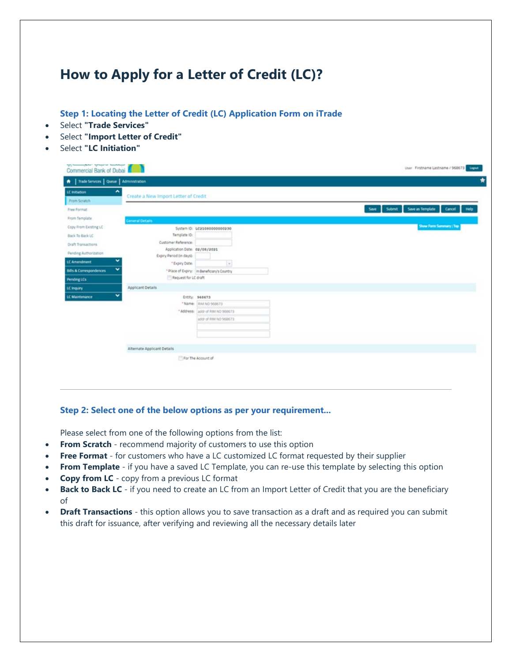## **How to Apply for a Letter of Credit (LC)?**

**Step 1: Locating the Letter of Credit (LC) Application Form on iTrade**

- Select **"Trade Services"**
- Select **"Import Letter of Credit"**
- Select **"LC Initiation"**

| Create a New Import Letter of Credit<br>From Soratch<br>Save as Template<br>Cancel<br><b>Submit</b><br>Help<br>Save<br><b>General Details</b><br>Show Form Summary   Top<br>System ID: LC210800000000230<br>Template ID:<br>Customer Reference:<br>Application Date: 02/08/2021<br>Expry Period (in days):<br>v<br>$^\circ$<br>* Expiry Date:<br>v<br>* Place of Expiry: In Beneficiary's Country<br>Request for LC draft<br><b>Applicant Details</b><br>v<br>Entity: 968673<br>*Name: RIM NO 968673<br>" Address: addr of RIM NO 968673<br>addr of RIM NO 968673<br>Alternate Applicant Details | $\hat{\phantom{a}}$<br>LC Initiation |  |  |
|--------------------------------------------------------------------------------------------------------------------------------------------------------------------------------------------------------------------------------------------------------------------------------------------------------------------------------------------------------------------------------------------------------------------------------------------------------------------------------------------------------------------------------------------------------------------------------------------------|--------------------------------------|--|--|
| Free Format<br>From Template<br>Copy From Existing LC<br>Back To Back LC<br><b>Draft Transactions</b><br>Pending Authorization<br>LC Amendment<br><b>Bills &amp; Correspondences</b><br>Pending LCs<br>LC Inquiry<br>LC Maintenance                                                                                                                                                                                                                                                                                                                                                              |                                      |  |  |
|                                                                                                                                                                                                                                                                                                                                                                                                                                                                                                                                                                                                  |                                      |  |  |
|                                                                                                                                                                                                                                                                                                                                                                                                                                                                                                                                                                                                  |                                      |  |  |
|                                                                                                                                                                                                                                                                                                                                                                                                                                                                                                                                                                                                  |                                      |  |  |
|                                                                                                                                                                                                                                                                                                                                                                                                                                                                                                                                                                                                  |                                      |  |  |
|                                                                                                                                                                                                                                                                                                                                                                                                                                                                                                                                                                                                  |                                      |  |  |
|                                                                                                                                                                                                                                                                                                                                                                                                                                                                                                                                                                                                  |                                      |  |  |
|                                                                                                                                                                                                                                                                                                                                                                                                                                                                                                                                                                                                  |                                      |  |  |
|                                                                                                                                                                                                                                                                                                                                                                                                                                                                                                                                                                                                  |                                      |  |  |
|                                                                                                                                                                                                                                                                                                                                                                                                                                                                                                                                                                                                  |                                      |  |  |
|                                                                                                                                                                                                                                                                                                                                                                                                                                                                                                                                                                                                  |                                      |  |  |
|                                                                                                                                                                                                                                                                                                                                                                                                                                                                                                                                                                                                  |                                      |  |  |
|                                                                                                                                                                                                                                                                                                                                                                                                                                                                                                                                                                                                  |                                      |  |  |
|                                                                                                                                                                                                                                                                                                                                                                                                                                                                                                                                                                                                  |                                      |  |  |
|                                                                                                                                                                                                                                                                                                                                                                                                                                                                                                                                                                                                  |                                      |  |  |
|                                                                                                                                                                                                                                                                                                                                                                                                                                                                                                                                                                                                  |                                      |  |  |
|                                                                                                                                                                                                                                                                                                                                                                                                                                                                                                                                                                                                  |                                      |  |  |
|                                                                                                                                                                                                                                                                                                                                                                                                                                                                                                                                                                                                  |                                      |  |  |
|                                                                                                                                                                                                                                                                                                                                                                                                                                                                                                                                                                                                  |                                      |  |  |
| For The Account of                                                                                                                                                                                                                                                                                                                                                                                                                                                                                                                                                                               |                                      |  |  |

## **Step 2: Select one of the below options as per your requirement...**

Please select from one of the following options from the list:

- **From Scratch** recommend majority of customers to use this option
- **Free Format** for customers who have a LC customized LC format requested by their supplier
- **From Template** if you have a saved LC Template, you can re-use this template by selecting this option
- **Copy from LC** copy from a previous LC format
- **Back to Back LC** if you need to create an LC from an Import Letter of Credit that you are the beneficiary of
- **Draft Transactions** this option allows you to save transaction as a draft and as required you can submit this draft for issuance, after verifying and reviewing all the necessary details later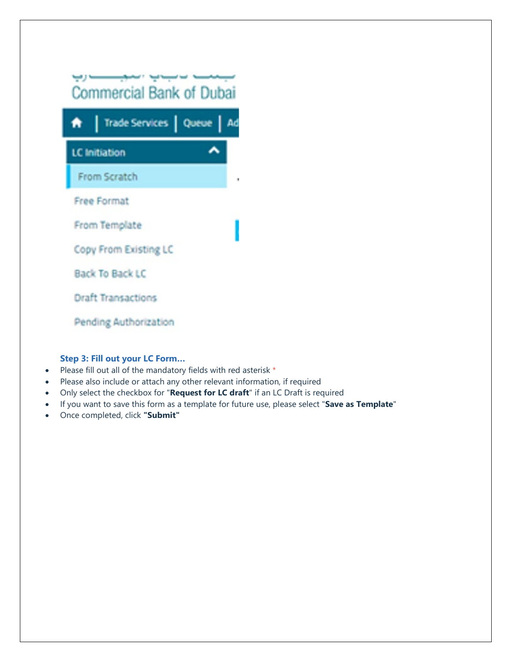

## **Step 3: Fill out your LC Form…**

- Please fill out all of the mandatory fields with red asterisk \*
- Please also include or attach any other relevant information, if required
- Only select the checkbox for "**Request for LC draft**" if an LC Draft is required
- If you want to save this form as a template for future use, please select "**Save as Template**"
- Once completed, click **"Submit"**